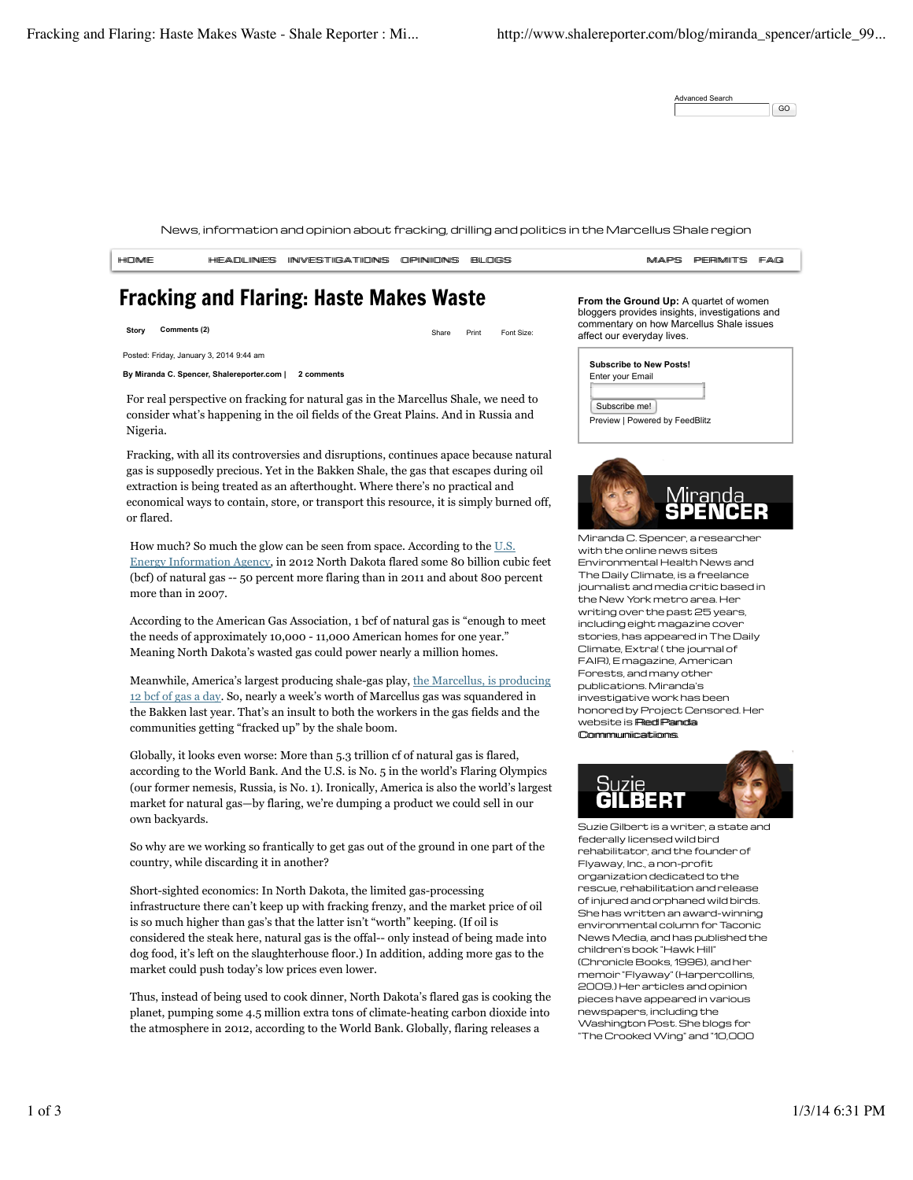| Advanced Search |    |
|-----------------|----|
|                 | GO |

News, information and opinion about fracking, drilling and politics in the Marcellus Shale region

| <b>HIDIME</b> | HEADLINES INVESTIGATIONS OPINIONS BLOGS |  | MAPS PERMITS FAQ |  |
|---------------|-----------------------------------------|--|------------------|--|
|               |                                         |  |                  |  |

# Fracking and Flaring: Haste Makes Waste

**Story Comments (2)** Starting Comments (2) Share Print Font Size:

Posted: Friday, January 3, 2014 9:44 am

**By Miranda C. Spencer, Shalereporter.com | 2 comments**

For real perspective on fracking for natural gas in the Marcellus Shale, we need to consider what's happening in the oil fields of the Great Plains. And in Russia and Nigeria.

Fracking, with all its controversies and disruptions, continues apace because natural gas is supposedly precious. Yet in the Bakken Shale, the gas that escapes during oil extraction is being treated as an afterthought. Where there's no practical and economical ways to contain, store, or transport this resource, it is simply burned off, or flared.

How much? So much the glow can be seen from space. According to the U.S. Energy Information Agency, in 2012 North Dakota flared some 80 billion cubic feet (bcf) of natural gas -- 50 percent more flaring than in 2011 and about 800 percent more than in 2007.

According to the American Gas Association, 1 bcf of natural gas is "enough to meet the needs of approximately 10,000 - 11,000 American homes for one year." Meaning North Dakota's wasted gas could power nearly a million homes.

Meanwhile, America's largest producing shale-gas play, the Marcellus, is producing 12 bcf of gas a day. So, nearly a week's worth of Marcellus gas was squandered in the Bakken last year. That's an insult to both the workers in the gas fields and the communities getting "fracked up" by the shale boom.

Globally, it looks even worse: More than 5.3 trillion cf of natural gas is flared, according to the World Bank. And the U.S. is No. 5 in the world's Flaring Olympics (our former nemesis, Russia, is No. 1). Ironically, America is also the world's largest market for natural gas—by flaring, we're dumping a product we could sell in our own backyards.

So why are we working so frantically to get gas out of the ground in one part of the country, while discarding it in another?

Short-sighted economics: In North Dakota, the limited gas-processing infrastructure there can't keep up with fracking frenzy, and the market price of oil is so much higher than gas's that the latter isn't "worth" keeping. (If oil is considered the steak here, natural gas is the offal-- only instead of being made into dog food, it's left on the slaughterhouse floor.) In addition, adding more gas to the market could push today's low prices even lower.

Thus, instead of being used to cook dinner, North Dakota's flared gas is cooking the planet, pumping some 4.5 million extra tons of climate-heating carbon dioxide into the atmosphere in 2012, according to the World Bank. Globally, flaring releases a

**From the Ground Up:** A quartet of women bloggers provides insights, investigations and commentary on how Marcellus Shale issues affect our everyday lives.

|                  | <b>Subscribe to New Posts!</b> |  |  |
|------------------|--------------------------------|--|--|
| Enter your Email |                                |  |  |
|                  |                                |  |  |
| Subscribe me!    |                                |  |  |
|                  | Preview   Powered by FeedBlitz |  |  |



Miranda C. Spencer, a researcher with the online news sites Environmental Health News and The Daily Climate, is a freelance journalist and media critic based in the New York metro area. Her writing over the past 25 years, including eight magazine cover stories, has appeared in The Daily Climate, Extra! ( the journal of FAIR), E magazine, American Forests, and many other publications. Miranda's investigative work has been honored by Project Censored. Her website is **Red Panda** CCoommmmuunniiccaattiioonnss.



Suzie Gilbert is a writer, a state and federally licensed wild bird rehabilitator, and the founder of Flyaway, Inc., a non-profit organization dedicated to the rescue, rehabilitation and release of injured and orphaned wild birds. She has written an award-winning environmental column for Taconic News Media, and has published the children's book "Hawk Hill" (Chronicle Books, 1996), and her memoir "Flyaway" (Harpercollins, 2009.) Her articles and opinion pieces have appeared in various newspapers, including the Washington Post. She blogs for "The Crooked Wing" and "10,000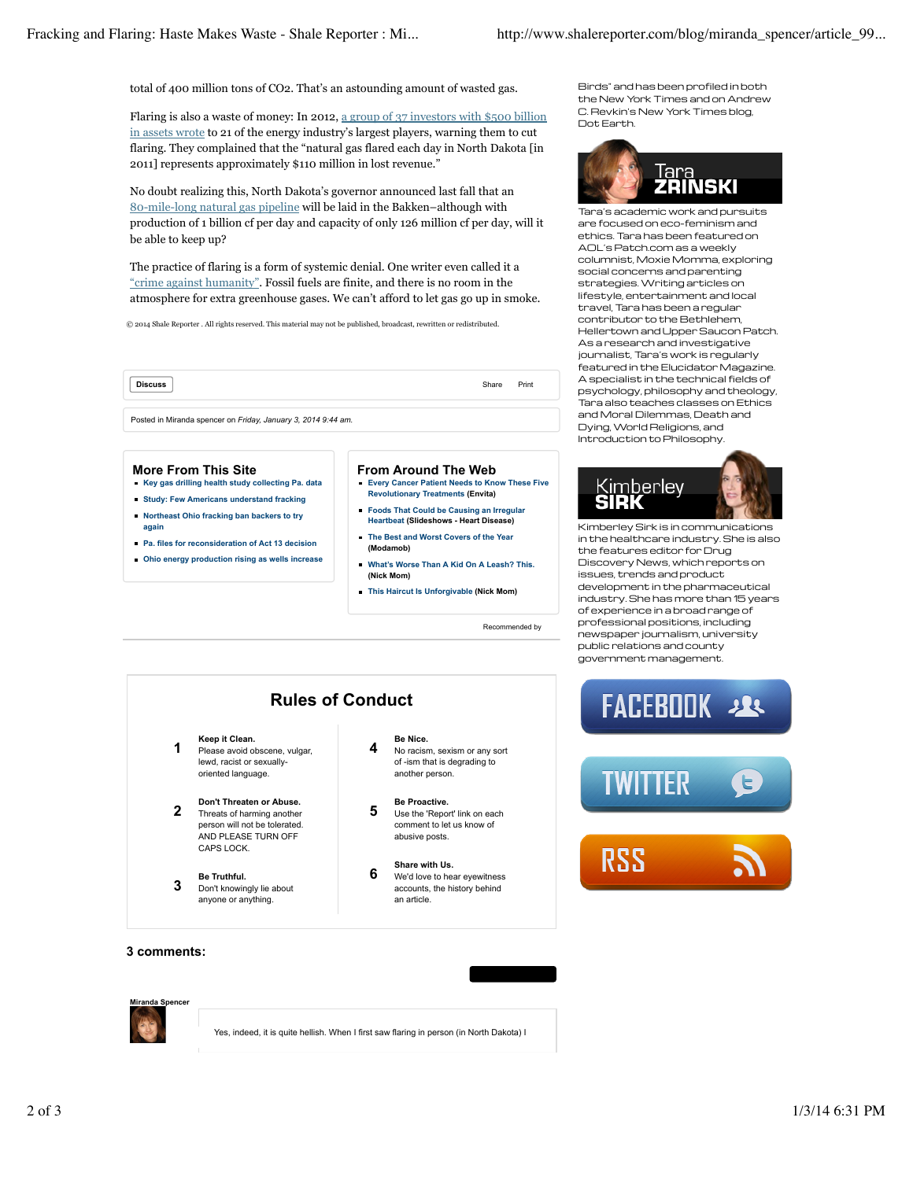total of 400 million tons of CO2. That's an astounding amount of wasted gas.

Flaring is also a waste of money: In 2012, a group of 37 investors with \$500 billion in assets wrote to 21 of the energy industry's largest players, warning them to cut flaring. They complained that the "natural gas flared each day in North Dakota [in 2011] represents approximately \$110 million in lost revenue."

No doubt realizing this, North Dakota's governor announced last fall that an 80-mile-long natural gas pipeline will be laid in the Bakken–although with production of 1 billion cf per day and capacity of only 126 million cf per day, will it be able to keep up?

The practice of flaring is a form of systemic denial. One writer even called it a "crime against humanity". Fossil fuels are finite, and there is no room in the atmosphere for extra greenhouse gases. We can't afford to let gas go up in smoke.

© 2014 Shale Reporter . All rights reserved. This material may not be published, broadcast, rewritten or redistributed.

**Discuss** Print

Posted in Miranda spencer on *Friday, January 3, 2014 9:44 am.*

#### **More From This Site**

- **Key gas drilling health study collecting Pa. data**
- **Study: Few Americans understand fracking**
- **Northeast Ohio fracking ban backers to try again**
- **Pa. files for reconsideration of Act 13 decision**
- **Ohio energy production rising as wells increase**

#### **From Around The Web Every Cancer Patient Needs to Know These Five**

- **Revolutionary Treatments (Envita) Foods That Could be Causing an Irregular**
- **Heartbeat (Slideshows Heart Disease)**
- **The Best and Worst Covers of the Year (Modamob)**
- **What's Worse Than A Kid On A Leash? This. (Nick Mom)**
- **This Haircut Is Unforgivable (Nick Mom)**

Recommended by

Birds" and has been profiled in both the New York Times and on Andrew C. Revkin's New York Times blog, Dot Earth.



Tara's academic work and pursuits are focused on eco-feminism and ethics. Tara has been featured on AOL's Patch.com as a weekly columnist, Moxie Momma, exploring social concerns and parenting strategies. Writing articles on lifestyle, entertainment and local travel, Tara has been a regular contributor to the Bethlehem, Hellertown and Upper Saucon Patch. As a research and investigative journalist, Tara's work is regularly featured in the Elucidator Magazine. A specialist in the technical fields of psychology, philosophy and theology, Tara also teaches classes on Ethics and Moral Dilemmas, Death and Dying, World Religions, and Introduction to Philosophy.



Kimberley Sirk is in communications in the healthcare industry. She is also the features editor for Drug Discovery News, which reports on issues, trends and product development in the pharmaceutical industry. She has more than 15 years of experience in a broad range of professional positions, including newspaper journalism, university public relations and county government management.



**3 Be Truthful.**<br> **3 Don't knowingly lie about** anyone or anything.

- **4 Be Nice.**<br>**4 No racism, sexism or any sort** of -ism that is degrading to another person.
- **5 Be Proactive.**<br> **5** Use the 'Report' link on each comment to let us know of

## **6 Share with Us.**<br>**6 We'd love to hear eyewitness** accounts, the history behind an article.



### **3 comments:**



Yes, indeed, it is quite hellish. When I first saw flaring in person (in North Dakota) I